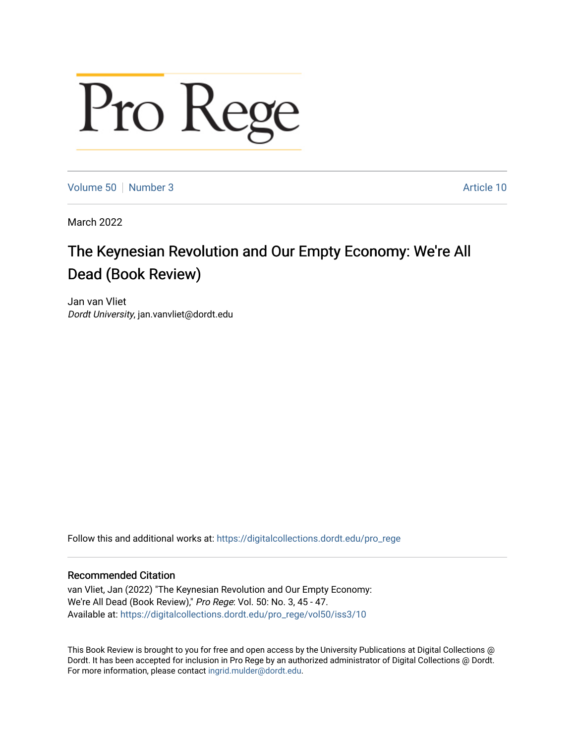## Pro Rege

[Volume 50](https://digitalcollections.dordt.edu/pro_rege/vol50) [Number 3](https://digitalcollections.dordt.edu/pro_rege/vol50/iss3) Article 10

March 2022

## The Keynesian Revolution and Our Empty Economy: We're All Dead (Book Review)

Jan van Vliet Dordt University, jan.vanvliet@dordt.edu

Follow this and additional works at: [https://digitalcollections.dordt.edu/pro\\_rege](https://digitalcollections.dordt.edu/pro_rege?utm_source=digitalcollections.dordt.edu%2Fpro_rege%2Fvol50%2Fiss3%2F10&utm_medium=PDF&utm_campaign=PDFCoverPages) 

## Recommended Citation

van Vliet, Jan (2022) "The Keynesian Revolution and Our Empty Economy: We're All Dead (Book Review)," Pro Rege: Vol. 50: No. 3, 45 - 47. Available at: [https://digitalcollections.dordt.edu/pro\\_rege/vol50/iss3/10](https://digitalcollections.dordt.edu/pro_rege/vol50/iss3/10?utm_source=digitalcollections.dordt.edu%2Fpro_rege%2Fvol50%2Fiss3%2F10&utm_medium=PDF&utm_campaign=PDFCoverPages)

This Book Review is brought to you for free and open access by the University Publications at Digital Collections @ Dordt. It has been accepted for inclusion in Pro Rege by an authorized administrator of Digital Collections @ Dordt. For more information, please contact [ingrid.mulder@dordt.edu](mailto:ingrid.mulder@dordt.edu).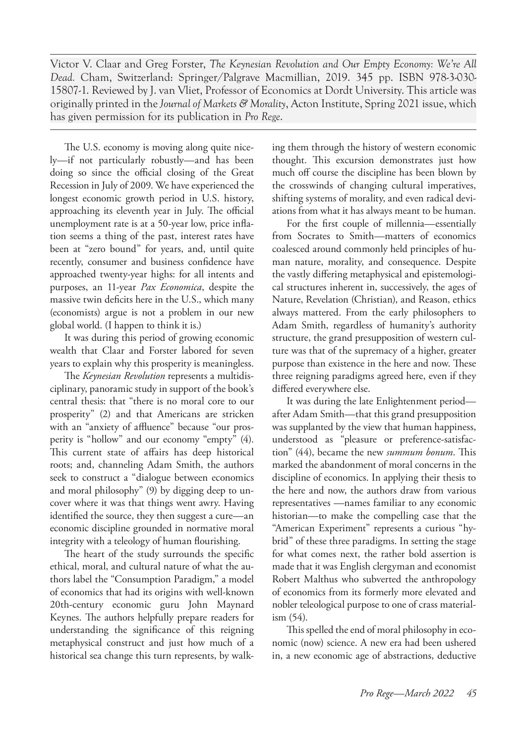Victor V. Claar and Greg Forster, *The Keynesian Revolution and Our Empty Economy: We're All Dead.* Cham, Switzerland: Springer/Palgrave Macmillian, 2019. 345 pp. ISBN 978-3-030- 15807-1. Reviewed by J. van Vliet, Professor of Economics at Dordt University. This article was originally printed in the *Journal of Markets & Morality*, Acton Institute, Spring 2021 issue, which has given permission for its publication in *Pro Rege*.

The U.S. economy is moving along quite nicely—if not particularly robustly—and has been doing so since the official closing of the Great Recession in July of 2009. We have experienced the longest economic growth period in U.S. history, approaching its eleventh year in July. The official unemployment rate is at a 50-year low, price inflation seems a thing of the past, interest rates have been at "zero bound" for years, and, until quite recently, consumer and business confidence have approached twenty-year highs: for all intents and purposes, an 11-year *Pax Economica*, despite the massive twin deficits here in the U.S., which many (economists) argue is not a problem in our new global world. (I happen to think it is.)

It was during this period of growing economic wealth that Claar and Forster labored for seven years to explain why this prosperity is meaningless.

The *Keynesian Revolution* represents a multidisciplinary, panoramic study in support of the book's central thesis: that "there is no moral core to our prosperity" (2) and that Americans are stricken with an "anxiety of affluence" because "our prosperity is "hollow" and our economy "empty" (4). This current state of affairs has deep historical roots; and, channeling Adam Smith, the authors seek to construct a "dialogue between economics and moral philosophy" (9) by digging deep to uncover where it was that things went awry. Having identified the source, they then suggest a cure—an economic discipline grounded in normative moral integrity with a teleology of human flourishing.

The heart of the study surrounds the specific ethical, moral, and cultural nature of what the authors label the "Consumption Paradigm," a model of economics that had its origins with well-known 20th-century economic guru John Maynard Keynes. The authors helpfully prepare readers for understanding the significance of this reigning metaphysical construct and just how much of a historical sea change this turn represents, by walking them through the history of western economic thought. This excursion demonstrates just how much off course the discipline has been blown by the crosswinds of changing cultural imperatives, shifting systems of morality, and even radical deviations from what it has always meant to be human.

For the first couple of millennia—essentially from Socrates to Smith—matters of economics coalesced around commonly held principles of human nature, morality, and consequence. Despite the vastly differing metaphysical and epistemological structures inherent in, successively, the ages of Nature, Revelation (Christian), and Reason, ethics always mattered. From the early philosophers to Adam Smith, regardless of humanity's authority structure, the grand presupposition of western culture was that of the supremacy of a higher, greater purpose than existence in the here and now. These three reigning paradigms agreed here, even if they differed everywhere else.

It was during the late Enlightenment period after Adam Smith—that this grand presupposition was supplanted by the view that human happiness, understood as "pleasure or preference-satisfaction" (44), became the new *summum bonum*. This marked the abandonment of moral concerns in the discipline of economics. In applying their thesis to the here and now, the authors draw from various representatives —names familiar to any economic historian—to make the compelling case that the "American Experiment" represents a curious "hybrid" of these three paradigms. In setting the stage for what comes next, the rather bold assertion is made that it was English clergyman and economist Robert Malthus who subverted the anthropology of economics from its formerly more elevated and nobler teleological purpose to one of crass materialism (54).

This spelled the end of moral philosophy in economic (now) science. A new era had been ushered in, a new economic age of abstractions, deductive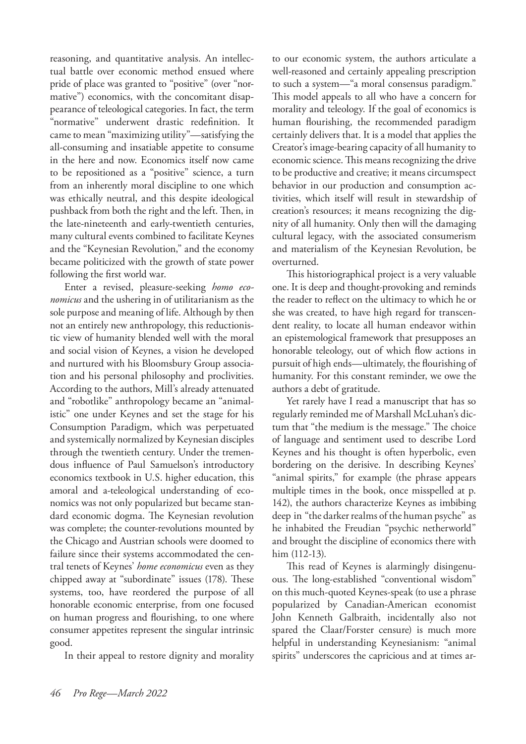reasoning, and quantitative analysis. An intellectual battle over economic method ensued where pride of place was granted to "positive" (over "normative") economics, with the concomitant disappearance of teleological categories. In fact, the term "normative" underwent drastic redefinition. It came to mean "maximizing utility"—satisfying the all-consuming and insatiable appetite to consume in the here and now. Economics itself now came to be repositioned as a "positive" science, a turn from an inherently moral discipline to one which was ethically neutral, and this despite ideological pushback from both the right and the left. Then, in the late-nineteenth and early-twentieth centuries, many cultural events combined to facilitate Keynes and the "Keynesian Revolution," and the economy became politicized with the growth of state power following the first world war.

Enter a revised, pleasure-seeking *homo economicus* and the ushering in of utilitarianism as the sole purpose and meaning of life. Although by then not an entirely new anthropology, this reductionistic view of humanity blended well with the moral and social vision of Keynes, a vision he developed and nurtured with his Bloomsbury Group association and his personal philosophy and proclivities. According to the authors, Mill's already attenuated and "robotlike" anthropology became an "animalistic" one under Keynes and set the stage for his Consumption Paradigm, which was perpetuated and systemically normalized by Keynesian disciples through the twentieth century. Under the tremendous influence of Paul Samuelson's introductory economics textbook in U.S. higher education, this amoral and a-teleological understanding of economics was not only popularized but became standard economic dogma. The Keynesian revolution was complete; the counter-revolutions mounted by the Chicago and Austrian schools were doomed to failure since their systems accommodated the central tenets of Keynes' *home economicus* even as they chipped away at "subordinate" issues (178). These systems, too, have reordered the purpose of all honorable economic enterprise, from one focused on human progress and flourishing, to one where consumer appetites represent the singular intrinsic good.

In their appeal to restore dignity and morality

to our economic system, the authors articulate a well-reasoned and certainly appealing prescription to such a system—"a moral consensus paradigm." This model appeals to all who have a concern for morality and teleology. If the goal of economics is human flourishing, the recommended paradigm certainly delivers that. It is a model that applies the Creator's image-bearing capacity of all humanity to economic science. This means recognizing the drive to be productive and creative; it means circumspect behavior in our production and consumption activities, which itself will result in stewardship of creation's resources; it means recognizing the dignity of all humanity. Only then will the damaging cultural legacy, with the associated consumerism and materialism of the Keynesian Revolution, be overturned.

This historiographical project is a very valuable one. It is deep and thought-provoking and reminds the reader to reflect on the ultimacy to which he or she was created, to have high regard for transcendent reality, to locate all human endeavor within an epistemological framework that presupposes an honorable teleology, out of which flow actions in pursuit of high ends—ultimately, the flourishing of humanity. For this constant reminder, we owe the authors a debt of gratitude.

Yet rarely have I read a manuscript that has so regularly reminded me of Marshall McLuhan's dictum that "the medium is the message." The choice of language and sentiment used to describe Lord Keynes and his thought is often hyperbolic, even bordering on the derisive. In describing Keynes' "animal spirits," for example (the phrase appears multiple times in the book, once misspelled at p. 142), the authors characterize Keynes as imbibing deep in "the darker realms of the human psyche" as he inhabited the Freudian "psychic netherworld" and brought the discipline of economics there with him (112-13).

This read of Keynes is alarmingly disingenuous. The long-established "conventional wisdom" on this much-quoted Keynes-speak (to use a phrase popularized by Canadian-American economist John Kenneth Galbraith, incidentally also not spared the Claar/Forster censure) is much more helpful in understanding Keynesianism: "animal spirits" underscores the capricious and at times ar